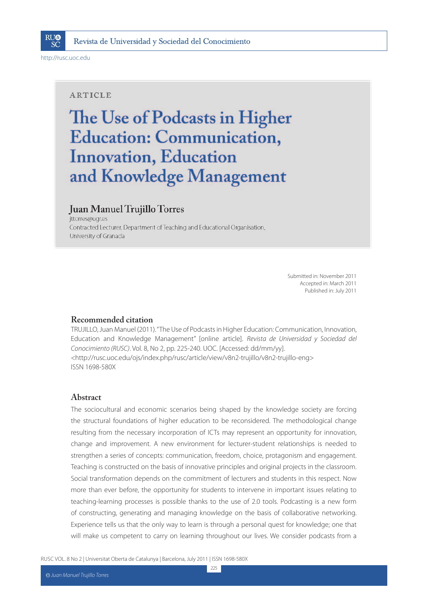

http://rusc.uoc.edu

#### **ARTICLE**

# The Use of Podcasts in Higher **Education: Communication, Innovation, Education** and Knowledge Management

### Juan Manuel Trujillo Torres

jttorres@ugr.es Contracted Lecturer, Department of Teaching and Educational Organisation, University of Granada

> Submitted in: November 2011 Accepted in: March 2011 Published in: July 2011

### **Recommended citation**

TRUJILLO, Juan Manuel (2011). "The Use of Podcasts in Higher Education: Communication, Innovation, Education and Knowledge Management" [online article]. Revista de Universidad y Sociedad del Conocimiento (RUSC). Vol. 8, No 2, pp. 225-240. UOC. [Accessed: dd/mm/yy]. <http://rusc.uoc.edu/ojs/index.php/rusc/article/view/v8n2-trujillo/v8n2-trujillo-eng> ISSN 1698-580X

#### **Abstract**

The sociocultural and economic scenarios being shaped by the knowledge society are forcing the structural foundations of higher education to be reconsidered. The methodological change resulting from the necessary incorporation of ICTs may represent an opportunity for innovation, change and improvement. A new environment for lecturer-student relationships is needed to strengthen a series of concepts: communication, freedom, choice, protagonism and engagement. Teaching is constructed on the basis of innovative principles and original projects in the classroom. Social transformation depends on the commitment of lecturers and students in this respect. Now more than ever before, the opportunity for students to intervene in important issues relating to teaching-learning processes is possible thanks to the use of 2.0 tools. Podcasting is a new form of constructing, generating and managing knowledge on the basis of collaborative networking. Experience tells us that the only way to learn is through a personal quest for knowledge; one that will make us competent to carry on learning throughout our lives. We consider podcasts from a

RUSC VOL. 8 No 2 | Universitat Oberta de Catalunya | Barcelona, July 2011 | ISSN 1698-580X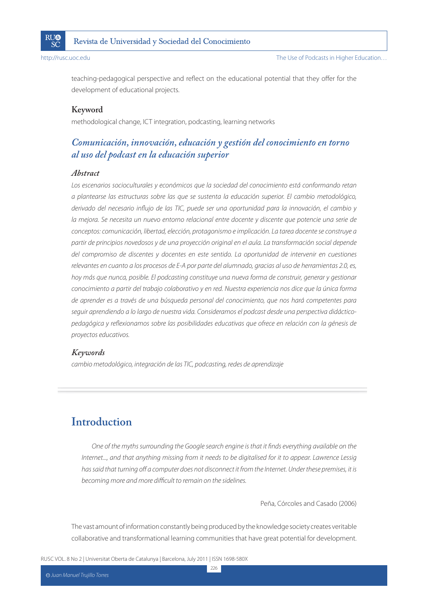

teaching-pedagogical perspective and reflect on the educational potential that they offer for the development of educational projects.

### **Keyword**

methodological change, ICT integration, podcasting, learning networks

## *Comunicación, innovación, educación y gestión del conocimiento en torno al uso del podcast en la educación superior*

#### *Abstract*

Los escenarios socioculturales y económicos que la sociedad del conocimiento está conformando retan a plantearse las estructuras sobre las que se sustenta la educación superior. El cambio metodológico, derivado del necesario influjo de las TIC, puede ser una oportunidad para la innovación, el cambio y la mejora. Se necesita un nuevo entorno relacional entre docente y discente que potencie una serie de conceptos: comunicación, libertad, elección, protagonismo e implicación. La tarea docente se construye a partir de principios novedosos y de una proyección original en el aula. La transformación social depende del compromiso de discentes y docentes en este sentido. La oportunidad de intervenir en cuestiones relevantes en cuanto a los procesos de E-A por parte del alumnado, gracias al uso de herramientas 2.0, es, hoy más que nunca, posible. El podcasting constituye una nueva forma de construir, generar y gestionar conocimiento a partir del trabajo colaborativo y en red. Nuestra experiencia nos dice que la única forma de aprender es a través de una búsqueda personal del conocimiento, que nos hará competentes para seguir aprendiendo a lo largo de nuestra vida. Consideramos el podcast desde una perspectiva didácticopedagógica y reflexionamos sobre las posibilidades educativas que ofrece en relación con la génesis de proyectos educativos.

### *Keywords*

cambio metodológico, integración de las TIC, podcasting, redes de aprendizaje

# **Introduction**

One of the myths surrounding the Google search engine is that it finds everything available on the Internet..., and that anything missing from it needs to be digitalised for it to appear. Lawrence Lessig has said that turning off a computer does not disconnect it from the Internet. Under these premises, it is becoming more and more difficult to remain on the sidelines.

Peña, Córcoles and Casado (2006)

The vast amount of information constantly being produced by the knowledge society creates veritable collaborative and transformational learning communities that have great potential for development.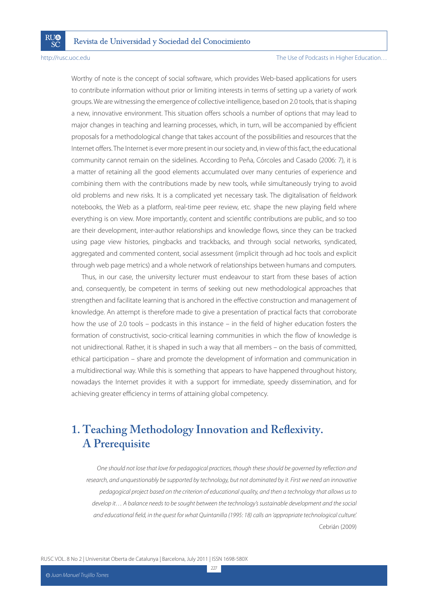SČ

#### http://rusc.uoc.edu enterprise of Podcasts in Higher Education...

Worthy of note is the concept of social software, which provides Web-based applications for users to contribute information without prior or limiting interests in terms of setting up a variety of work groups. We are witnessing the emergence of collective intelligence, based on 2.0 tools, that is shaping a new, innovative environment. This situation offers schools a number of options that may lead to major changes in teaching and learning processes, which, in turn, will be accompanied by efficient proposals for a methodological change that takes account of the possibilities and resources that the Internet offers. The Internet is ever more present in our society and, in view of this fact, the educational community cannot remain on the sidelines. According to Peña, Córcoles and Casado (2006: 7), it is a matter of retaining all the good elements accumulated over many centuries of experience and combining them with the contributions made by new tools, while simultaneously trying to avoid old problems and new risks. It is a complicated yet necessary task. The digitalisation of fieldwork notebooks, the Web as a platform, real-time peer review, etc. shape the new playing field where everything is on view. More importantly, content and scientific contributions are public, and so too are their development, inter-author relationships and knowledge flows, since they can be tracked using page view histories, pingbacks and trackbacks, and through social networks, syndicated, aggregated and commented content, social assessment (implicit through ad hoc tools and explicit through web page metrics) and a whole network of relationships between humans and computers.

Thus, in our case, the university lecturer must endeavour to start from these bases of action and, consequently, be competent in terms of seeking out new methodological approaches that strengthen and facilitate learning that is anchored in the effective construction and management of knowledge. An attempt is therefore made to give a presentation of practical facts that corroborate how the use of 2.0 tools – podcasts in this instance – in the field of higher education fosters the formation of constructivist, socio-critical learning communities in which the flow of knowledge is not unidirectional. Rather, it is shaped in such a way that all members – on the basis of committed, ethical participation – share and promote the development of information and communication in a multidirectional way. While this is something that appears to have happened throughout history, nowadays the Internet provides it with a support for immediate, speedy dissemination, and for achieving greater efficiency in terms of attaining global competency.

# **1. Teaching Methodology Innovation and Reflexivity. A Prerequisite**

One should not lose that love for pedagogical practices, though these should be governed by reflection and research, and unquestionably be supported by technology, but not dominated by it. First we need an innovative pedagogical project based on the criterion of educational quality, and then a technology that allows us to develop it… A balance needs to be sought between the technology's sustainable development and the social and educational field, in the quest for what Quintanilla (1995: 18) calls an 'appropriate technological culture'. Cebrián (2009)

RUSC VOL. 8 No 2 | Universitat Oberta de Catalunya | Barcelona, July 2011 | ISSN 1698-580X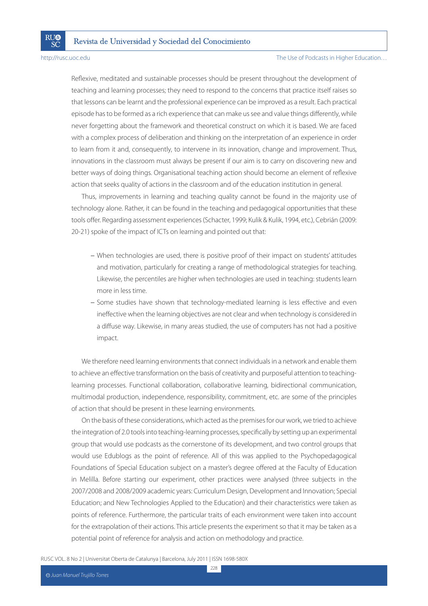SČ

#### http://rusc.uoc.edu The Use of Podcasts in Higher Education…

Reflexive, meditated and sustainable processes should be present throughout the development of teaching and learning processes; they need to respond to the concerns that practice itself raises so that lessons can be learnt and the professional experience can be improved as a result. Each practical episode has to be formed as a rich experience that can make us see and value things differently, while never forgetting about the framework and theoretical construct on which it is based. We are faced with a complex process of deliberation and thinking on the interpretation of an experience in order to learn from it and, consequently, to intervene in its innovation, change and improvement. Thus, innovations in the classroom must always be present if our aim is to carry on discovering new and better ways of doing things. Organisational teaching action should become an element of reflexive action that seeks quality of actions in the classroom and of the education institution in general.

Thus, improvements in learning and teaching quality cannot be found in the majority use of technology alone. Rather, it can be found in the teaching and pedagogical opportunities that these tools offer. Regarding assessment experiences (Schacter, 1999; Kulik & Kulik, 1994, etc.), Cebrián (2009: 20-21) spoke of the impact of ICTs on learning and pointed out that:

- When technologies are used, there is positive proof of their impact on students' attitudes and motivation, particularly for creating a range of methodological strategies for teaching. Likewise, the percentiles are higher when technologies are used in teaching: students learn more in less time.
- Some studies have shown that technology-mediated learning is less effective and even ineffective when the learning objectives are not clear and when technology is considered in a diffuse way. Likewise, in many areas studied, the use of computers has not had a positive impact.

We therefore need learning environments that connect individuals in a network and enable them to achieve an effective transformation on the basis of creativity and purposeful attention to teachinglearning processes. Functional collaboration, collaborative learning, bidirectional communication, multimodal production, independence, responsibility, commitment, etc. are some of the principles of action that should be present in these learning environments.

On the basis of these considerations, which acted as the premises for our work, we tried to achieve the integration of 2.0 tools into teaching-learning processes, specifically by setting up an experimental group that would use podcasts as the cornerstone of its development, and two control groups that would use Edublogs as the point of reference. All of this was applied to the Psychopedagogical Foundations of Special Education subject on a master's degree offered at the Faculty of Education in Melilla. Before starting our experiment, other practices were analysed (three subjects in the 2007/2008 and 2008/2009 academic years: Curriculum Design, Development and Innovation; Special Education; and New Technologies Applied to the Education) and their characteristics were taken as points of reference. Furthermore, the particular traits of each environment were taken into account for the extrapolation of their actions. This article presents the experiment so that it may be taken as a potential point of reference for analysis and action on methodology and practice.

RUSC VOL. 8 No 2 | Universitat Oberta de Catalunya | Barcelona, July 2011 | ISSN 1698-580X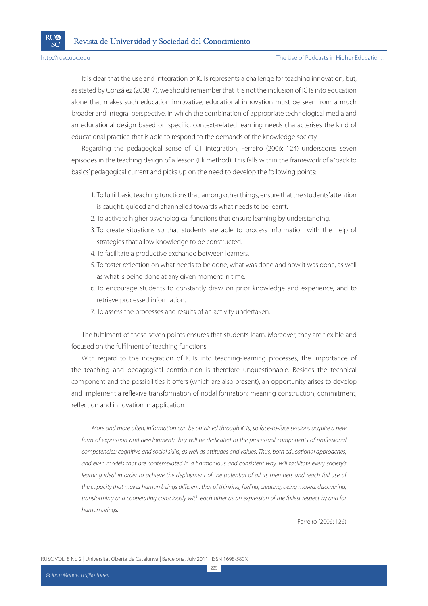**RI**I®

SČ

It is clear that the use and integration of ICTs represents a challenge for teaching innovation, but, as stated by González (2008: 7), we should remember that it is not the inclusion of ICTs into education alone that makes such education innovative; educational innovation must be seen from a much broader and integral perspective, in which the combination of appropriate technological media and an educational design based on specific, context-related learning needs characterises the kind of educational practice that is able to respond to the demands of the knowledge society.

Regarding the pedagogical sense of ICT integration, Ferreiro (2006: 124) underscores seven episodes in the teaching design of a lesson (Eli method). This falls within the framework of a 'back to basics' pedagogical current and picks up on the need to develop the following points:

- 1. To fulfil basic teaching functions that, among other things, ensure that the students' attention is caught, guided and channelled towards what needs to be learnt.
- 2. To activate higher psychological functions that ensure learning by understanding.
- 3. To create situations so that students are able to process information with the help of strategies that allow knowledge to be constructed.
- 4. To facilitate a productive exchange between learners.
- 5. To foster reflection on what needs to be done, what was done and how it was done, as well as what is being done at any given moment in time.
- 6. To encourage students to constantly draw on prior knowledge and experience, and to retrieve processed information.
- 7. To assess the processes and results of an activity undertaken.

The fulfilment of these seven points ensures that students learn. Moreover, they are flexible and focused on the fulfilment of teaching functions.

With regard to the integration of ICTs into teaching-learning processes, the importance of the teaching and pedagogical contribution is therefore unquestionable. Besides the technical component and the possibilities it offers (which are also present), an opportunity arises to develop and implement a reflexive transformation of nodal formation: meaning construction, commitment, reflection and innovation in application.

More and more often, information can be obtained through ICTs, so face-to-face sessions acquire a new form of expression and development; they will be dedicated to the processual components of professional competencies: cognitive and social skills, as well as attitudes and values. Thus, both educational approaches, and even models that are contemplated in a harmonious and consistent way, will facilitate every society's learning ideal in order to achieve the deployment of the potential of all its members and reach full use of the capacity that makes human beings different: that of thinking, feeling, creating, being moved, discovering, transforming and cooperating consciously with each other as an expression of the fullest respect by and for human beings.

229

Ferreiro (2006: 126)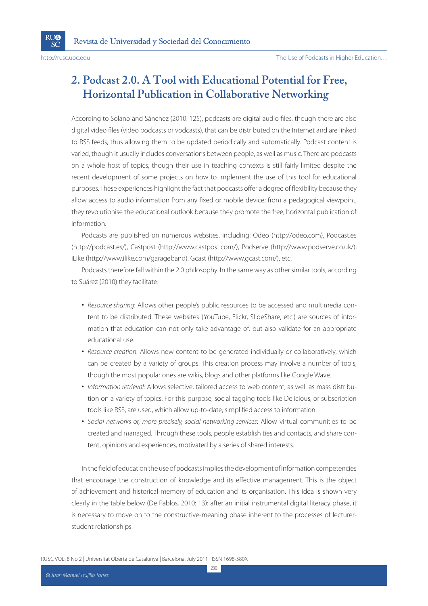SČ

# **2. Podcast 2.0. A Tool with Educational Potential for Free, Horizontal Publication in Collaborative Networking**

According to Solano and Sánchez (2010: 125), podcasts are digital audio files, though there are also digital video files (video podcasts or vodcasts), that can be distributed on the Internet and are linked to RSS feeds, thus allowing them to be updated periodically and automatically. Podcast content is varied, though it usually includes conversations between people, as well as music. There are podcasts on a whole host of topics, though their use in teaching contexts is still fairly limited despite the recent development of some projects on how to implement the use of this tool for educational purposes. These experiences highlight the fact that podcasts offer a degree of flexibility because they allow access to audio information from any fixed or mobile device; from a pedagogical viewpoint, they revolutionise the educational outlook because they promote the free, horizontal publication of information.

Podcasts are published on numerous websites, including: Odeo (http://odeo.com), Podcast.es (http://podcast.es/), Castpost (http://www.castpost.com/), Podserve (http://www.podserve.co.uk/), iLike (http://www.ilike.com/garageband), Gcast (http://www.gcast.com/), etc.

Podcasts therefore fall within the 2.0 philosophy. In the same way as other similar tools, according to Suárez (2010) they facilitate:

- Resource sharing: Allows other people's public resources to be accessed and multimedia content to be distributed. These websites (YouTube, Flickr, SlideShare, etc.) are sources of information that education can not only take advantage of, but also validate for an appropriate educational use.
- Resource creation: Allows new content to be generated individually or collaboratively, which can be created by a variety of groups. This creation process may involve a number of tools, though the most popular ones are wikis, blogs and other platforms like Google Wave.
- Information retrieval: Allows selective, tailored access to web content, as well as mass distribution on a variety of topics. For this purpose, social tagging tools like Delicious, or subscription tools like RSS, are used, which allow up-to-date, simplified access to information.
- Social networks or, more precisely, social networking services: Allow virtual communities to be created and managed. Through these tools, people establish ties and contacts, and share content, opinions and experiences, motivated by a series of shared interests.

In the field of education the use of podcasts implies the development of information competencies that encourage the construction of knowledge and its effective management. This is the object of achievement and historical memory of education and its organisation. This idea is shown very clearly in the table below (De Pablos, 2010: 13): after an initial instrumental digital literacy phase, it is necessary to move on to the constructive-meaning phase inherent to the processes of lecturerstudent relationships.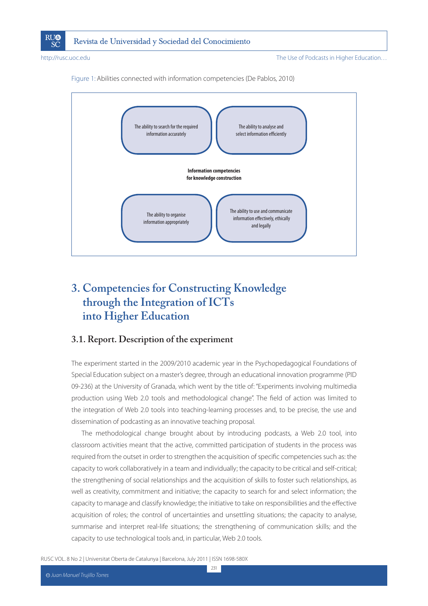





# **3. Competencies for Constructing Knowledge through the Integration of ICTs into Higher Education**

### **3.1. Report. Description of the experiment**

The experiment started in the 2009/2010 academic year in the Psychopedagogical Foundations of Special Education subject on a master's degree, through an educational innovation programme (PID 09-236) at the University of Granada, which went by the title of: "Experiments involving multimedia production using Web 2.0 tools and methodological change". The field of action was limited to the integration of Web 2.0 tools into teaching-learning processes and, to be precise, the use and dissemination of podcasting as an innovative teaching proposal.

The methodological change brought about by introducing podcasts, a Web 2.0 tool, into classroom activities meant that the active, committed participation of students in the process was required from the outset in order to strengthen the acquisition of specific competencies such as: the capacity to work collaboratively in a team and individually; the capacity to be critical and self-critical; the strengthening of social relationships and the acquisition of skills to foster such relationships, as well as creativity, commitment and initiative; the capacity to search for and select information; the capacity to manage and classify knowledge; the initiative to take on responsibilities and the effective acquisition of roles; the control of uncertainties and unsettling situations; the capacity to analyse, summarise and interpret real-life situations; the strengthening of communication skills; and the capacity to use technological tools and, in particular, Web 2.0 tools.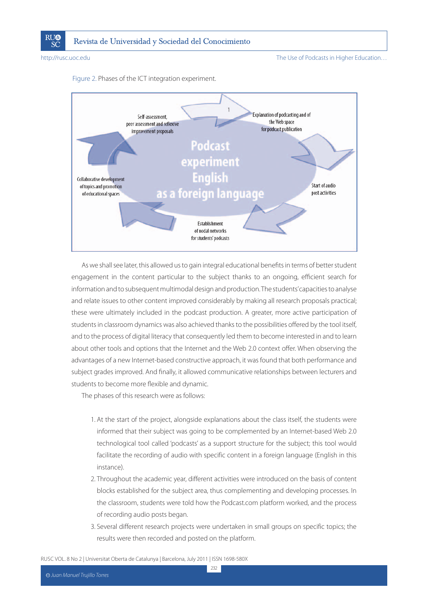

http://rusc.uoc.edu The Use of Podcasts in Higher Education...

Figure 2. Phases of the ICT integration experiment.



As we shall see later, this allowed us to gain integral educational benefits in terms of better student engagement in the content particular to the subject thanks to an ongoing, efficient search for information and to subsequent multimodal design and production. The students' capacities to analyse and relate issues to other content improved considerably by making all research proposals practical; these were ultimately included in the podcast production. A greater, more active participation of students in classroom dynamics was also achieved thanks to the possibilities offered by the tool itself, and to the process of digital literacy that consequently led them to become interested in and to learn about other tools and options that the Internet and the Web 2.0 context offer. When observing the advantages of a new Internet-based constructive approach, it was found that both performance and subject grades improved. And finally, it allowed communicative relationships between lecturers and students to become more flexible and dynamic.

The phases of this research were as follows:

- 1. At the start of the project, alongside explanations about the class itself, the students were informed that their subject was going to be complemented by an Internet-based Web 2.0 technological tool called 'podcasts' as a support structure for the subject; this tool would facilitate the recording of audio with specific content in a foreign language (English in this instance).
- 2. Throughout the academic year, different activities were introduced on the basis of content blocks established for the subject area, thus complementing and developing processes. In the classroom, students were told how the Podcast.com platform worked, and the process of recording audio posts began.
- 3. Several different research projects were undertaken in small groups on specific topics; the results were then recorded and posted on the platform.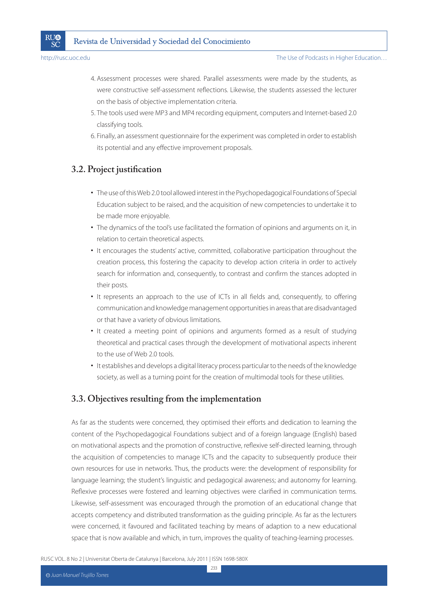

- 4. Assessment processes were shared. Parallel assessments were made by the students, as were constructive self-assessment reflections. Likewise, the students assessed the lecturer on the basis of objective implementation criteria.
- 5. The tools used were MP3 and MP4 recording equipment, computers and Internet-based 2.0 classifying tools.
- 6. Finally, an assessment questionnaire for the experiment was completed in order to establish its potential and any effective improvement proposals.

## **3.2. Project justification**

- The use of this Web 2.0 tool allowed interest in the Psychopedagogical Foundations of Special Education subject to be raised, and the acquisition of new competencies to undertake it to be made more enjoyable.
- The dynamics of the tool's use facilitated the formation of opinions and arguments on it, in relation to certain theoretical aspects.
- It encourages the students' active, committed, collaborative participation throughout the creation process, this fostering the capacity to develop action criteria in order to actively search for information and, consequently, to contrast and confirm the stances adopted in their posts.
- It represents an approach to the use of ICTs in all fields and, consequently, to offering communication and knowledge management opportunities in areas that are disadvantaged or that have a variety of obvious limitations.
- It created a meeting point of opinions and arguments formed as a result of studying theoretical and practical cases through the development of motivational aspects inherent to the use of Web 2.0 tools.
- It establishes and develops a digital literacy process particular to the needs of the knowledge society, as well as a turning point for the creation of multimodal tools for these utilities.

## **3.3. Objectives resulting from the implementation**

As far as the students were concerned, they optimised their efforts and dedication to learning the content of the Psychopedagogical Foundations subject and of a foreign language (English) based on motivational aspects and the promotion of constructive, reflexive self-directed learning, through the acquisition of competencies to manage ICTs and the capacity to subsequently produce their own resources for use in networks. Thus, the products were: the development of responsibility for language learning; the student's linguistic and pedagogical awareness; and autonomy for learning. Reflexive processes were fostered and learning objectives were clarified in communication terms. Likewise, self-assessment was encouraged through the promotion of an educational change that accepts competency and distributed transformation as the guiding principle. As far as the lecturers were concerned, it favoured and facilitated teaching by means of adaption to a new educational space that is now available and which, in turn, improves the quality of teaching-learning processes.

RUSC VOL. 8 No 2 | Universitat Oberta de Catalunya | Barcelona, July 2011 | ISSN 1698-580X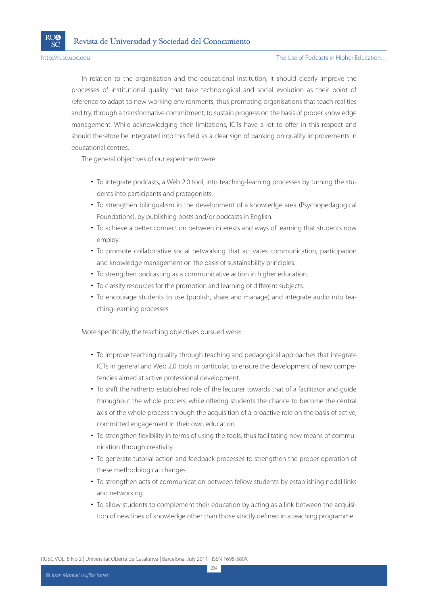SČ

In relation to the organisation and the educational institution, it should clearly improve the processes of institutional quality that take technological and social evolution as their point of reference to adapt to new working environments, thus promoting organisations that teach realities and try, through a transformative commitment, to sustain progress on the basis of proper knowledge management. While acknowledging their limitations, ICTs have a lot to offer in this respect and should therefore be integrated into this field as a clear sign of banking on quality improvements in educational centres.

The general objectives of our experiment were:

- To integrate podcasts, a Web 2.0 tool, into teaching-learning processes by turning the students into participants and protagonists.
- To strengthen bilingualism in the development of a knowledge area (Psychopedagogical Foundations), by publishing posts and/or podcasts in English.
- To achieve a better connection between interests and ways of learning that students now employ.
- To promote collaborative social networking that activates communication, participation and knowledge management on the basis of sustainability principles.
- To strengthen podcasting as a communicative action in higher education.
- To classify resources for the promotion and learning of different subjects.
- To encourage students to use (publish, share and manage) and integrate audio into teaching-learning processes.

More specifically, the teaching objectives pursued were:

- To improve teaching quality through teaching and pedagogical approaches that integrate ICTs in general and Web 2.0 tools in particular, to ensure the development of new competencies aimed at active professional development.
- To shift the hitherto established role of the lecturer towards that of a facilitator and guide throughout the whole process, while offering students the chance to become the central axis of the whole process through the acquisition of a proactive role on the basis of active, committed engagement in their own education.
- To strengthen flexibility in terms of using the tools, thus facilitating new means of communication through creativity.
- To generate tutorial action and feedback processes to strengthen the proper operation of these methodological changes.
- To strengthen acts of communication between fellow students by establishing nodal links and networking.
- To allow students to complement their education by acting as a link between the acquisition of new lines of knowledge other than those strictly defined in a teaching programme.

RUSC VOL. 8 No 2 | Universitat Oberta de Catalunya | Barcelona, July 2011 | ISSN 1698-580X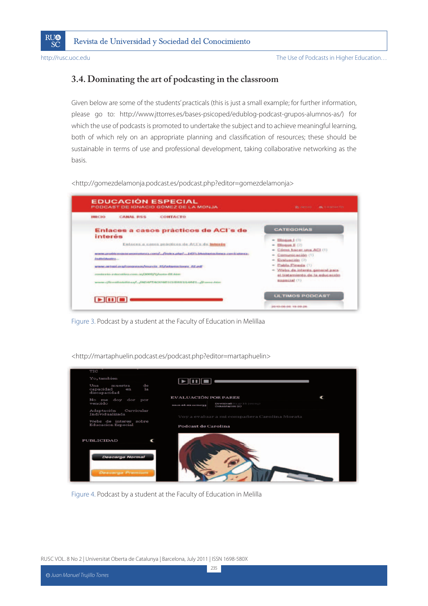

### **3.4. Dominating the art of podcasting in the classroom**

Given below are some of the students' practicals (this is just a small example; for further information, please go to: http://www.jttorres.es/bases-psicoped/edublog-podcast-grupos-alumnos-as/) for which the use of podcasts is promoted to undertake the subject and to achieve meaningful learning, both of which rely on an appropriate planning and classification of resources; these should be sustainable in terms of use and professional development, taking collaborative networking as the basis.

<http://gomezdelamonja.podcast.es/podcast.php?editor=gomezdelamonja>



Figure 3. Podcast by a student at the Faculty of Education in Melillaa

<http://martaphuelin.podcast.es/podcast.php?editor=martaphuelin>



Figure 4. Podcast by a student at the Faculty of Education in Melilla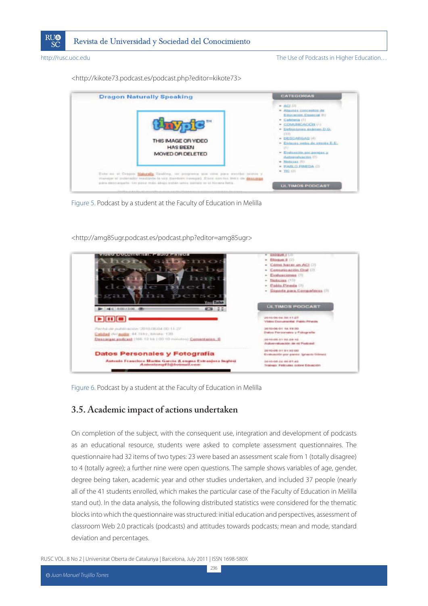

<http://kikote73.podcast.es/podcast.php?editor=kikote73>



Figure 5. Podcast by a student at the Faculty of Education in Melilla

<http://amg85ugr.podcast.es/podcast.php?editor=amg85ugr>



Figure 6. Podcast by a student at the Faculty of Education in Melilla

### **3.5. Academic impact of actions undertaken**

On completion of the subject, with the consequent use, integration and development of podcasts as an educational resource, students were asked to complete assessment questionnaires. The questionnaire had 32 items of two types: 23 were based an assessment scale from 1 (totally disagree) to 4 (totally agree); a further nine were open questions. The sample shows variables of age, gender, degree being taken, academic year and other studies undertaken, and included 37 people (nearly all of the 41 students enrolled, which makes the particular case of the Faculty of Education in Melilla stand out). In the data analysis, the following distributed statistics were considered for the thematic blocks into which the questionnaire was structured: initial education and perspectives, assessment of classroom Web 2.0 practicals (podcasts) and attitudes towards podcasts; mean and mode, standard deviation and percentages.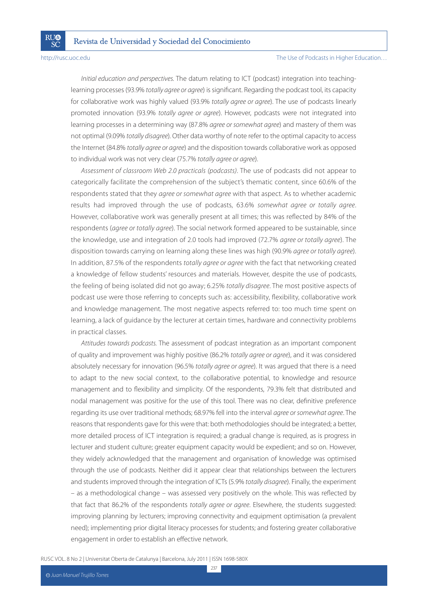SČ

#### http://rusc.uoc.edu **The Use of Podcasts in Higher Education**...

Initial education and perspectives. The datum relating to ICT (podcast) integration into teachinglearning processes (93.9% totally agree or agree) is significant. Regarding the podcast tool, its capacity for collaborative work was highly valued (93.9% totally agree or agree). The use of podcasts linearly promoted innovation (93.9% totally agree or agree). However, podcasts were not integrated into learning processes in a determining way (87.8% *garee or somewhat garee*) and mastery of them was not optimal (9.09% totally disagree). Other data worthy of note refer to the optimal capacity to access the Internet (84.8% totally agree or agree) and the disposition towards collaborative work as opposed to individual work was not very clear (75.7% totally agree or agree).

Assessment of classroom Web 2.0 practicals (podcasts). The use of podcasts did not appear to categorically facilitate the comprehension of the subject's thematic content, since 60.6% of the respondents stated that they *garee or somewhat garee* with that aspect. As to whether academic results had improved through the use of podcasts, 63.6% somewhat agree or totally agree. However, collaborative work was generally present at all times; this was reflected by 84% of the respondents (*garee or totally garee*). The social network formed appeared to be sustainable, since the knowledge, use and integration of 2.0 tools had improved (72.7% agree or totally agree). The disposition towards carrying on learning along these lines was high (90.9% *agree or totally agree*). In addition, 87.5% of the respondents totally agree or agree with the fact that networking created a knowledge of fellow students' resources and materials. However, despite the use of podcasts, the feeling of being isolated did not go away; 6.25% totally disagree. The most positive aspects of podcast use were those referring to concepts such as: accessibility, flexibility, collaborative work and knowledge management. The most negative aspects referred to: too much time spent on learning, a lack of guidance by the lecturer at certain times, hardware and connectivity problems in practical classes.

Attitudes towards podcasts. The assessment of podcast integration as an important component of quality and improvement was highly positive (86.2% totally agree or agree), and it was considered absolutely necessary for innovation (96.5% totally agree or agree). It was argued that there is a need to adapt to the new social context, to the collaborative potential, to knowledge and resource management and to flexibility and simplicity. Of the respondents, 79.3% felt that distributed and nodal management was positive for the use of this tool. There was no clear, definitive preference regarding its use over traditional methods; 68.97% fell into the interval *agree or somewhat agree*. The reasons that respondents gave for this were that: both methodologies should be integrated; a better, more detailed process of ICT integration is required; a gradual change is required, as is progress in lecturer and student culture; greater equipment capacity would be expedient; and so on. However, they widely acknowledged that the management and organisation of knowledge was optimised through the use of podcasts. Neither did it appear clear that relationships between the lecturers and students improved through the integration of ICTs (5.9% totally disagree). Finally, the experiment – as a methodological change – was assessed very positively on the whole. This was reflected by that fact that 86.2% of the respondents totally agree or agree. Elsewhere, the students suggested: improving planning by lecturers; improving connectivity and equipment optimisation (a prevalent need); implementing prior digital literacy processes for students; and fostering greater collaborative engagement in order to establish an effective network.

237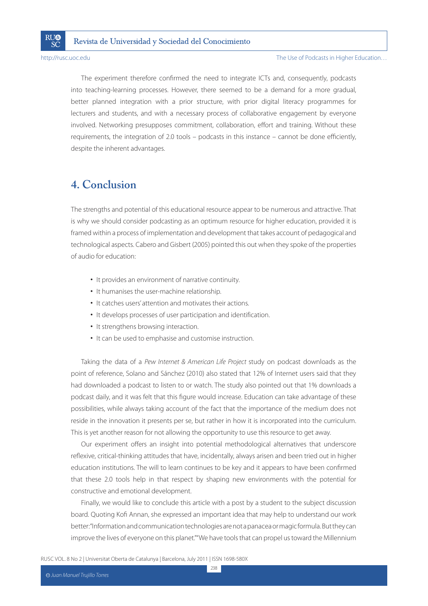The experiment therefore confirmed the need to integrate ICTs and, consequently, podcasts into teaching-learning processes. However, there seemed to be a demand for a more gradual, better planned integration with a prior structure, with prior digital literacy programmes for lecturers and students, and with a necessary process of collaborative engagement by everyone involved. Networking presupposes commitment, collaboration, effort and training. Without these requirements, the integration of 2.0 tools – podcasts in this instance – cannot be done efficiently, despite the inherent advantages.

# **4. Conclusion**

The strengths and potential of this educational resource appear to be numerous and attractive. That is why we should consider podcasting as an optimum resource for higher education, provided it is framed within a process of implementation and development that takes account of pedagogical and technological aspects. Cabero and Gisbert (2005) pointed this out when they spoke of the properties of audio for education:

- It provides an environment of narrative continuity.
- It humanises the user-machine relationship.
- It catches users' attention and motivates their actions.
- It develops processes of user participation and identification.
- It strengthens browsing interaction.
- It can be used to emphasise and customise instruction.

Taking the data of a Pew Internet & American Life Project study on podcast downloads as the point of reference, Solano and Sánchez (2010) also stated that 12% of Internet users said that they had downloaded a podcast to listen to or watch. The study also pointed out that 1% downloads a podcast daily, and it was felt that this figure would increase. Education can take advantage of these possibilities, while always taking account of the fact that the importance of the medium does not reside in the innovation it presents per se, but rather in how it is incorporated into the curriculum. This is yet another reason for not allowing the opportunity to use this resource to get away.

Our experiment offers an insight into potential methodological alternatives that underscore reflexive, critical-thinking attitudes that have, incidentally, always arisen and been tried out in higher education institutions. The will to learn continues to be key and it appears to have been confirmed that these 2.0 tools help in that respect by shaping new environments with the potential for constructive and emotional development.

Finally, we would like to conclude this article with a post by a student to the subject discussion board. Quoting Kofi Annan, she expressed an important idea that may help to understand our work better: "Information and communication technologies are not a panacea or magic formula. But they can improve the lives of everyone on this planet." "We have tools that can propel us toward the Millennium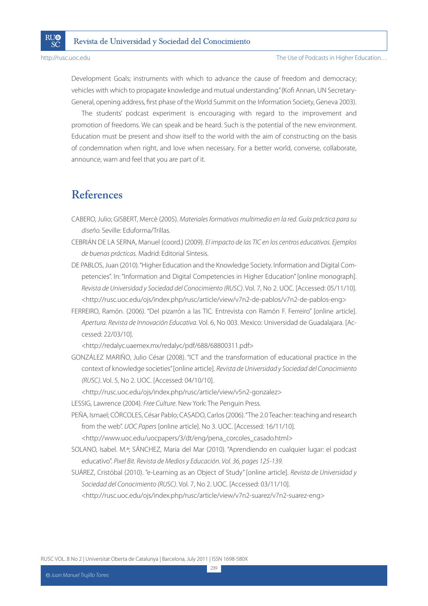Development Goals; instruments with which to advance the cause of freedom and democracy; vehicles with which to propagate knowledge and mutual understanding." (Kofi Annan, UN Secretary-General, opening address, first phase of the World Summit on the Information Society, Geneva 2003).

The students' podcast experiment is encouraging with regard to the improvement and promotion of freedoms. We can speak and be heard. Such is the potential of the new environment. Education must be present and show itself to the world with the aim of constructing on the basis of condemnation when right, and love when necessary. For a better world, converse, collaborate, announce, warn and feel that you are part of it.

# **References**

- CABERO, Julio; GISBERT, Mercè (2005). Materiales formativos multimedia en la red. Guía práctica para su diseño. Seville: Eduforma/Trillas.
- CEBRIÁN DE LA SERNA, Manuel (coord.) (2009). El impacto de las TIC en los centros educativos. Ejemplos de buenas prácticas. Madrid: Editorial Síntesis.
- DE PABLOS, Juan (2010). "Higher Education and the Knowledge Society. Information and Digital Competencies". In: "Information and Digital Competencies in Higher Education" [online monograph]. Revista de Universidad y Sociedad del Conocimiento (RUSC). Vol. 7, No 2. UOC. [Accessed: 05/11/10]. <http://rusc.uoc.edu/ojs/index.php/rusc/article/view/v7n2-de-pablos/v7n2-de-pablos-eng>
- FERREIRO, Ramón. (2006). "Del pizarrón a las TIC. Entrevista con Ramón F. Ferreiro" [online article]. Apertura. Revista de Innovación Educativa. Vol. 6, No 003. Mexico: Universidad de Guadalajara. [Accessed: 22/03/10].

<http://redalyc.uaemex.mx/redalyc/pdf/688/68800311.pdf>

GONZÁLEZ MARIÑO, Julio César (2008). "ICT and the transformation of educational practice in the context of knowledge societies" [online article]. Revista de Universidad y Sociedad del Conocimiento (RUSC). Vol. 5, No 2. UOC. [Accessed: 04/10/10].

<http://rusc.uoc.edu/ojs/index.php/rusc/article/view/v5n2-gonzalez>

LESSIG, Lawrence (2004). Free Culture. New York: The Penguin Press.

- PEÑA, Ismael; CÓRCOLES, César Pablo; CASADO, Carlos (2006). "The 2.0 Teacher: teaching and research from the web". UOC Papers [online article]. No 3. UOC. [Accessed: 16/11/10]. <http://www.uoc.edu/uocpapers/3/dt/eng/pena\_corcoles\_casado.html>
- SOLANO, Isabel. M.ª; SÁNCHEZ, Maria del Mar (2010). "Aprendiendo en cualquier lugar: el podcast educativo". Pixel Bit. Revista de Medios y Educación. Vol. 36, pages 125-139.
- SUÁREZ, Cristóbal (2010). "e-Learning as an Object of Study" [online article]. Revista de Universidad y Sociedad del Conocimiento (RUSC). Vol. 7, No 2. UOC. [Accessed: 03/11/10]. <http://rusc.uoc.edu/ojs/index.php/rusc/article/view/v7n2-suarez/v7n2-suarez-eng>

RUSC VOL. 8 No 2 | Universitat Oberta de Catalunya | Barcelona, July 2011 | ISSN 1698-580X